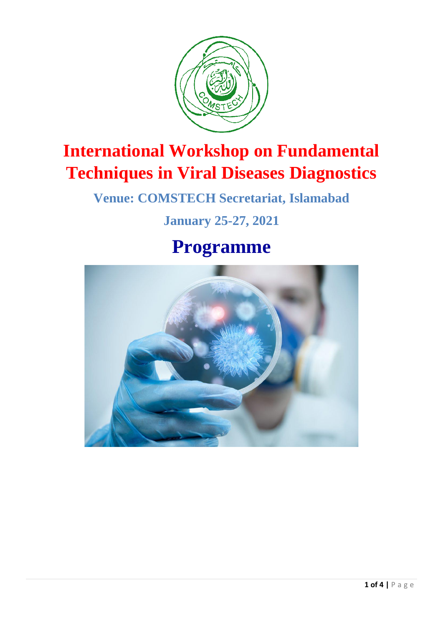

# **International Workshop on Fundamental Techniques in Viral Diseases Diagnostics**

**Venue: COMSTECH Secretariat, Islamabad**

### **January 25-27, 2021**

# **Programme**

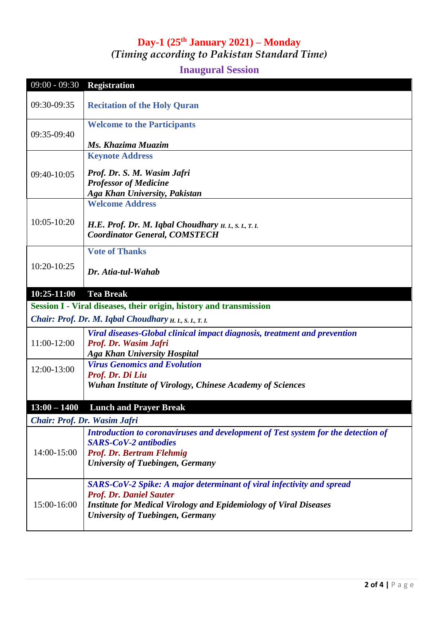#### **Day-1 (25 th January 2021) – Monday** *(Timing according to Pakistan Standard Time)*

#### **Inaugural Session**

| $09:00 - 09:30$                                                    | <b>Registration</b>                                                                            |  |
|--------------------------------------------------------------------|------------------------------------------------------------------------------------------------|--|
|                                                                    |                                                                                                |  |
| 09:30-09:35                                                        | <b>Recitation of the Holy Quran</b>                                                            |  |
| 09:35-09:40                                                        | <b>Welcome to the Participants</b>                                                             |  |
|                                                                    | Ms. Khazima Muazim                                                                             |  |
|                                                                    | <b>Keynote Address</b>                                                                         |  |
| 09:40-10:05                                                        |                                                                                                |  |
|                                                                    | Prof. Dr. S. M. Wasim Jafri<br><b>Professor of Medicine</b>                                    |  |
|                                                                    | Aga Khan University, Pakistan                                                                  |  |
| 10:05-10:20                                                        | <b>Welcome Address</b>                                                                         |  |
|                                                                    |                                                                                                |  |
|                                                                    | H.E. Prof. Dr. M. Iqbal Choudhary $H, I, S, I, T, I$ .<br><b>Coordinator General, COMSTECH</b> |  |
|                                                                    |                                                                                                |  |
|                                                                    | <b>Vote of Thanks</b>                                                                          |  |
| 10:20-10:25                                                        | Dr. Atia-tul-Wahab                                                                             |  |
|                                                                    |                                                                                                |  |
| $10:25-11:00$                                                      | <b>Tea Break</b>                                                                               |  |
| Session I - Viral diseases, their origin, history and transmission |                                                                                                |  |
|                                                                    | Chair: Prof. Dr. M. Iqbal Choudhary H. I., S. I., T. I.                                        |  |
|                                                                    | Viral diseases-Global clinical impact diagnosis, treatment and prevention                      |  |
| 11:00-12:00                                                        | Prof. Dr. Wasim Jafri                                                                          |  |
|                                                                    | <b>Aga Khan University Hospital</b>                                                            |  |
| 12:00-13:00                                                        | <b>Virus Genomics and Evolution</b><br>Prof. Dr. Di Liu                                        |  |
|                                                                    | <b>Wuhan Institute of Virology, Chinese Academy of Sciences</b>                                |  |
|                                                                    |                                                                                                |  |
| $13:00 - 1400$                                                     | <b>Lunch and Prayer Break</b>                                                                  |  |
| Chair: Prof. Dr. Wasim Jafri                                       |                                                                                                |  |
| 14:00-15:00                                                        | Introduction to coronaviruses and development of Test system for the detection of              |  |
|                                                                    | <b>SARS-CoV-2 antibodies</b>                                                                   |  |
|                                                                    | Prof. Dr. Bertram Flehmig                                                                      |  |
|                                                                    | <b>University of Tuebingen, Germany</b>                                                        |  |
| 15:00-16:00                                                        | SARS-CoV-2 Spike: A major determinant of viral infectivity and spread                          |  |
|                                                                    | <b>Prof. Dr. Daniel Sauter</b>                                                                 |  |
|                                                                    | <b>Institute for Medical Virology and Epidemiology of Viral Diseases</b>                       |  |
|                                                                    | <b>University of Tuebingen, Germany</b>                                                        |  |
|                                                                    |                                                                                                |  |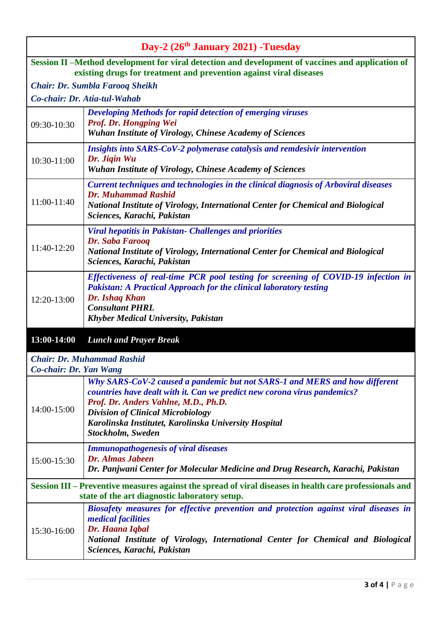| Day-2 (26 <sup>th</sup> January 2021) -Tuesday                                                                                                                          |                                                                                                                                                                                                                                                                                                                          |  |
|-------------------------------------------------------------------------------------------------------------------------------------------------------------------------|--------------------------------------------------------------------------------------------------------------------------------------------------------------------------------------------------------------------------------------------------------------------------------------------------------------------------|--|
| Session II -Method development for viral detection and development of vaccines and application of<br>existing drugs for treatment and prevention against viral diseases |                                                                                                                                                                                                                                                                                                                          |  |
| <b>Chair: Dr. Sumbla Farooq Sheikh</b>                                                                                                                                  |                                                                                                                                                                                                                                                                                                                          |  |
| Co-chair: Dr. Atia-tul-Wahab                                                                                                                                            |                                                                                                                                                                                                                                                                                                                          |  |
| 09:30-10:30                                                                                                                                                             | Developing Methods for rapid detection of emerging viruses<br>Prof. Dr. Hongping Wei<br><b>Wuhan Institute of Virology, Chinese Academy of Sciences</b>                                                                                                                                                                  |  |
| 10:30-11:00                                                                                                                                                             | Insights into SARS-CoV-2 polymerase catalysis and remdesivir intervention<br>Dr. Jiqin Wu<br><b>Wuhan Institute of Virology, Chinese Academy of Sciences</b>                                                                                                                                                             |  |
| 11:00-11:40                                                                                                                                                             | Current techniques and technologies in the clinical diagnosis of Arboviral diseases<br><b>Dr. Muhammad Rashid</b><br>National Institute of Virology, International Center for Chemical and Biological<br>Sciences, Karachi, Pakistan                                                                                     |  |
| 11:40-12:20                                                                                                                                                             | <b>Viral hepatitis in Pakistan- Challenges and priorities</b><br>Dr. Saba Farooq<br>National Institute of Virology, International Center for Chemical and Biological<br>Sciences, Karachi, Pakistan                                                                                                                      |  |
| 12:20-13:00                                                                                                                                                             | Effectiveness of real-time PCR pool testing for screening of COVID-19 infection in<br><b>Pakistan: A Practical Approach for the clinical laboratory testing</b><br><b>Dr. Ishaq Khan</b><br><b>Consultant PHRL</b><br><b>Khyber Medical University, Pakistan</b>                                                         |  |
| 13:00-14:00                                                                                                                                                             | <b>Lunch and Prayer Break</b>                                                                                                                                                                                                                                                                                            |  |
| <b>Chair: Dr. Muhammad Rashid</b><br>Co-chair: Dr. Yan Wang                                                                                                             |                                                                                                                                                                                                                                                                                                                          |  |
| 14:00-15:00                                                                                                                                                             | Why SARS-CoV-2 caused a pandemic but not SARS-1 and MERS and how different<br>countries have dealt with it. Can we predict new corona virus pandemics?<br>Prof. Dr. Anders Vahlne, M.D., Ph.D.<br><b>Division of Clinical Microbiology</b><br>Karolinska Institutet, Karolinska University Hospital<br>Stockholm, Sweden |  |
| 15:00-15:30                                                                                                                                                             | <b>Immunopathogenesis of viral diseases</b><br>Dr. Almas Jabeen<br>Dr. Panjwani Center for Molecular Medicine and Drug Research, Karachi, Pakistan                                                                                                                                                                       |  |
| Session III – Preventive measures against the spread of viral diseases in health care professionals and<br>state of the art diagnostic laboratory setup.                |                                                                                                                                                                                                                                                                                                                          |  |
| 15:30-16:00                                                                                                                                                             | Biosafety measures for effective prevention and protection against viral diseases in<br><i>medical facilities</i><br>Dr. Haana Iqbal<br>National Institute of Virology, International Center for Chemical and Biological<br>Sciences, Karachi, Pakistan                                                                  |  |